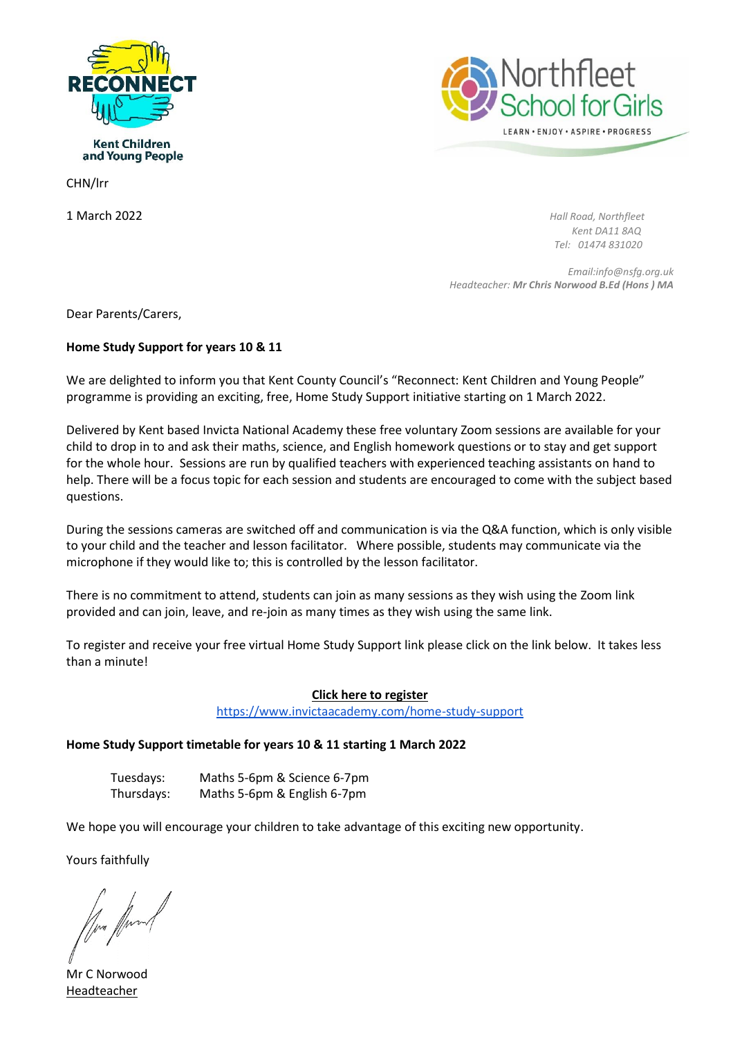



**Kent Children** and Young People

CHN/lrr

1 March 2022 *Hall Road, Northfleet Kent DA11 8AQ Tel: 01474 831020*

> *Email:info@nsfg.org.uk Headteacher: Mr Chris Norwood B.Ed (Hons ) MA*

Dear Parents/Carers,

# **Home Study Support for years 10 & 11**

We are delighted to inform you that Kent County Council's "Reconnect: Kent Children and Young People" programme is providing an exciting, free, Home Study Support initiative starting on 1 March 2022.

Delivered by Kent based Invicta National Academy these free voluntary Zoom sessions are available for your child to drop in to and ask their maths, science, and English homework questions or to stay and get support for the whole hour. Sessions are run by qualified teachers with experienced teaching assistants on hand to help. There will be a focus topic for each session and students are encouraged to come with the subject based questions.

During the sessions cameras are switched off and communication is via the Q&A function, which is only visible to your child and the teacher and lesson facilitator. Where possible, students may communicate via the microphone if they would like to; this is controlled by the lesson facilitator.

There is no commitment to attend, students can join as many sessions as they wish using the Zoom link provided and can join, leave, and re-join as many times as they wish using the same link.

To register and receive your free virtual Home Study Support link please click on the link below. It takes less than a minute!

### **Click here to register**

<https://www.invictaacademy.com/home-study-support>

### **Home Study Support timetable for years 10 & 11 starting 1 March 2022**

Tuesdays: Maths 5-6pm & Science 6-7pm Thursdays: Maths 5-6pm & English 6-7pm

We hope you will encourage your children to take advantage of this exciting new opportunity.

Yours faithfully

Mr C Norwood Headteacher